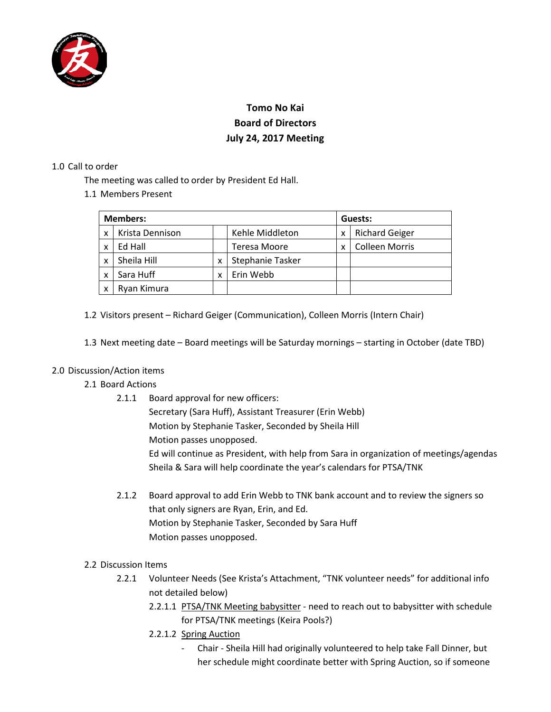

# **Tomo No Kai Board of Directors July 24, 2017 Meeting**

#### 1.0 Call to order

The meeting was called to order by President Ed Hall.

1.1 Members Present

| <b>Members:</b> |                 |   |                  | Guests: |                       |
|-----------------|-----------------|---|------------------|---------|-----------------------|
| x               | Krista Dennison |   | Kehle Middleton  | x       | <b>Richard Geiger</b> |
| x               | Ed Hall         |   | Teresa Moore     | x       | <b>Colleen Morris</b> |
| X               | Sheila Hill     | X | Stephanie Tasker |         |                       |
| X               | Sara Huff       | x | Erin Webb        |         |                       |
| x               | Ryan Kimura     |   |                  |         |                       |

- 1.2 Visitors present Richard Geiger (Communication), Colleen Morris (Intern Chair)
- 1.3 Next meeting date Board meetings will be Saturday mornings starting in October (date TBD)

## 2.0 Discussion/Action items

- 2.1 Board Actions
	- 2.1.1 Board approval for new officers: Secretary (Sara Huff), Assistant Treasurer (Erin Webb) Motion by Stephanie Tasker, Seconded by Sheila Hill Motion passes unopposed. Ed will continue as President, with help from Sara in organization of meetings/agendas Sheila & Sara will help coordinate the year's calendars for PTSA/TNK
	- 2.1.2 Board approval to add Erin Webb to TNK bank account and to review the signers so that only signers are Ryan, Erin, and Ed. Motion by Stephanie Tasker, Seconded by Sara Huff Motion passes unopposed.
- 2.2 Discussion Items
	- 2.2.1 Volunteer Needs (See Krista's Attachment, "TNK volunteer needs" for additional info not detailed below)
		- 2.2.1.1 PTSA/TNK Meeting babysitter need to reach out to babysitter with schedule for PTSA/TNK meetings (Keira Pools?)
		- 2.2.1.2 Spring Auction
			- Chair Sheila Hill had originally volunteered to help take Fall Dinner, but her schedule might coordinate better with Spring Auction, so if someone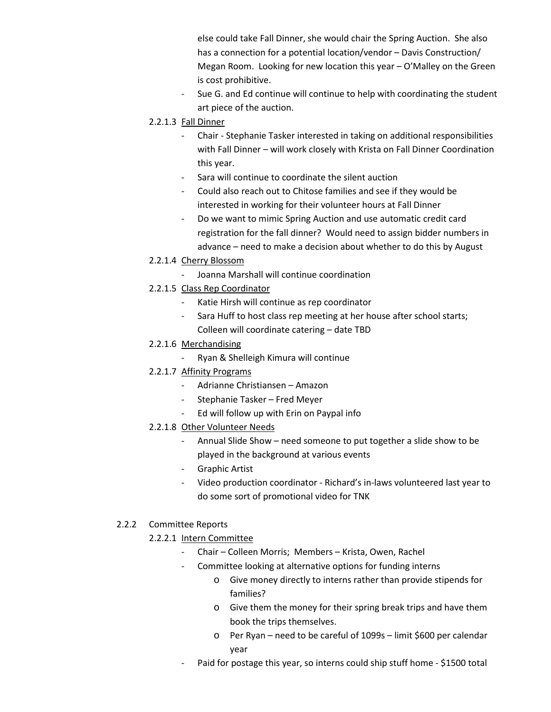else could take Fall Dinner, she would chair the Spring Auction. She also has a connection for a potential location/vendor – Davis Construction/ Megan Room. Looking for new location this year – O'Malley on the Green is cost prohibitive.

- Sue G. and Ed continue will continue to help with coordinating the student art piece of the auction.
- 2.2.1.3 Fall Dinner
	- Chair Stephanie Tasker interested in taking on additional responsibilities with Fall Dinner – will work closely with Krista on Fall Dinner Coordination this year.
	- Sara will continue to coordinate the silent auction
	- Could also reach out to Chitose families and see if they would be interested in working for their volunteer hours at Fall Dinner
	- Do we want to mimic Spring Auction and use automatic credit card registration for the fall dinner? Would need to assign bidder numbers in advance – need to make a decision about whether to do this by August
- 2.2.1.4 Cherry Blossom
	- Joanna Marshall will continue coordination
- 2.2.1.5 Class Rep Coordinator
	- Katie Hirsh will continue as rep coordinator
	- Sara Huff to host class rep meeting at her house after school starts; Colleen will coordinate catering – date TBD
- 2.2.1.6 Merchandising
	- Ryan & Shelleigh Kimura will continue
- 2.2.1.7 Affinity Programs
	- Adrianne Christiansen Amazon
	- Stephanie Tasker Fred Meyer
	- Ed will follow up with Erin on Paypal info
- 2.2.1.8 Other Volunteer Needs
	- Annual Slide Show need someone to put together a slide show to be played in the background at various events
	- Graphic Artist
	- Video production coordinator Richard's in-laws volunteered last year to do some sort of promotional video for TNK

## 2.2.2 Committee Reports

## 2.2.2.1 Intern Committee

- Chair Colleen Morris; Members Krista, Owen, Rachel
- Committee looking at alternative options for funding interns
	- o Give money directly to interns rather than provide stipends for families?
	- o Give them the money for their spring break trips and have them book the trips themselves.
	- o Per Ryan need to be careful of 1099s limit \$600 per calendar year
- Paid for postage this year, so interns could ship stuff home \$1500 total